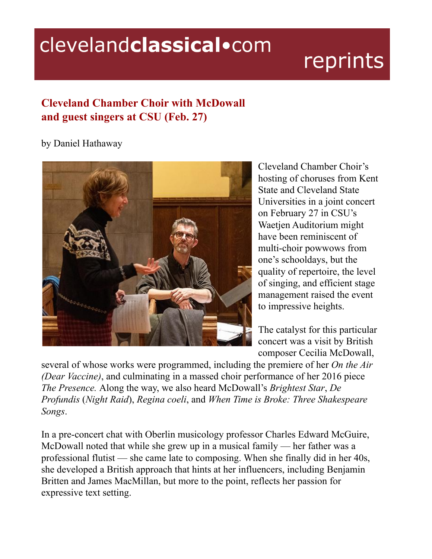## clevelandclassical.com

## reprints

## **Cleveland Chamber Choir with McDowall and guest singers at CSU (Feb. 27)**

## by Daniel Hathaway



Cleveland Chamber Choir's hosting of choruses from Kent State and Cleveland State Universities in a joint concert on February 27 in CSU's Waetjen Auditorium might have been reminiscent of multi-choir powwows from one's schooldays, but the quality of repertoire, the level of singing, and efficient stage management raised the event to impressive heights.

The catalyst for this particular concert was a visit by British composer Cecilia McDowall,

several of whose works were programmed, including the premiere of her *On the Air (Dear Vaccine)*, and culminating in a massed choir performance of her 2016 piece *The Presence.* Along the way, we also heard McDowall's *Brightest Star*, *De Profundis* (*Night Raid*), *Regina coeli*, and *When Time is Broke: Three Shakespeare Songs*.

In a pre-concert chat with Oberlin musicology professor Charles Edward McGuire, McDowall noted that while she grew up in a musical family — her father was a professional flutist — she came late to composing. When she finally did in her 40s, she developed a British approach that hints at her influencers, including Benjamin Britten and James MacMillan, but more to the point, reflects her passion for expressive text setting.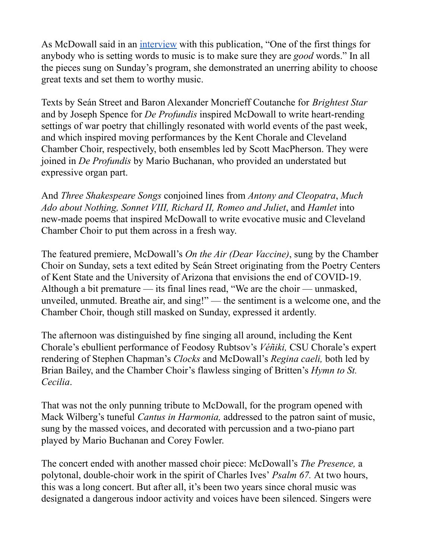As McDowall said in an [interview](https://clevelandclassical.com/cleveland-chamber-choir-hosts-composer-cecilia-mcdowall/) with this publication, "One of the first things for anybody who is setting words to music is to make sure they are *good* words." In all the pieces sung on Sunday's program, she demonstrated an unerring ability to choose great texts and set them to worthy music.

Texts by Seán Street and Baron Alexander Moncrieff Coutanche for *Brightest Star* and by Joseph Spence for *De Profundis* inspired McDowall to write heart-rending settings of war poetry that chillingly resonated with world events of the past week, and which inspired moving performances by the Kent Chorale and Cleveland Chamber Choir, respectively, both ensembles led by Scott MacPherson. They were joined in *De Profundis* by Mario Buchanan, who provided an understated but expressive organ part.

And *Three Shakespeare Songs* conjoined lines from *Antony and Cleopatra*, *Much Ado about Nothing, Sonnet VIII, Richard II, Romeo and Juliet*, and *Hamlet* into new-made poems that inspired McDowall to write evocative music and Cleveland Chamber Choir to put them across in a fresh way.

The featured premiere, McDowall's *On the Air (Dear Vaccine)*, sung by the Chamber Choir on Sunday, sets a text edited by Seán Street originating from the Poetry Centers of Kent State and the University of Arizona that envisions the end of COVID-19. Although a bit premature — its final lines read, "We are the choir — unmasked, unveiled, unmuted. Breathe air, and sing!" — the sentiment is a welcome one, and the Chamber Choir, though still masked on Sunday, expressed it ardently.

The afternoon was distinguished by fine singing all around, including the Kent Chorale's ebullient performance of Feodosy Rubtsov's *Véñiki,* CSU Chorale's expert rendering of Stephen Chapman's *Clocks* and McDowall's *Regina caeli,* both led by Brian Bailey, and the Chamber Choir's flawless singing of Britten's *Hymn to St. Cecilia*.

That was not the only punning tribute to McDowall, for the program opened with Mack Wilberg's tuneful *Cantus in Harmonia,* addressed to the patron saint of music, sung by the massed voices, and decorated with percussion and a two-piano part played by Mario Buchanan and Corey Fowler.

The concert ended with another massed choir piece: McDowall's *The Presence,* a polytonal, double-choir work in the spirit of Charles Ives' *Psalm 67.* At two hours, this was a long concert. But after all, it's been two years since choral music was designated a dangerous indoor activity and voices have been silenced. Singers were